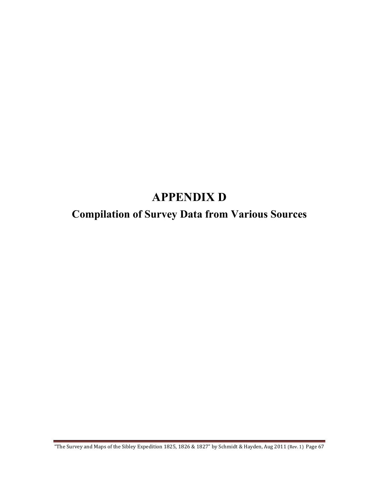## **APPENDIX D**

## **Compilation of Survey Data from Various Sources**

"The Survey and Maps of the Sibley Expedition 1825, 1826 & 1827" by Schmidt & Hayden, Aug 2011 (Rev. 1) Page 67